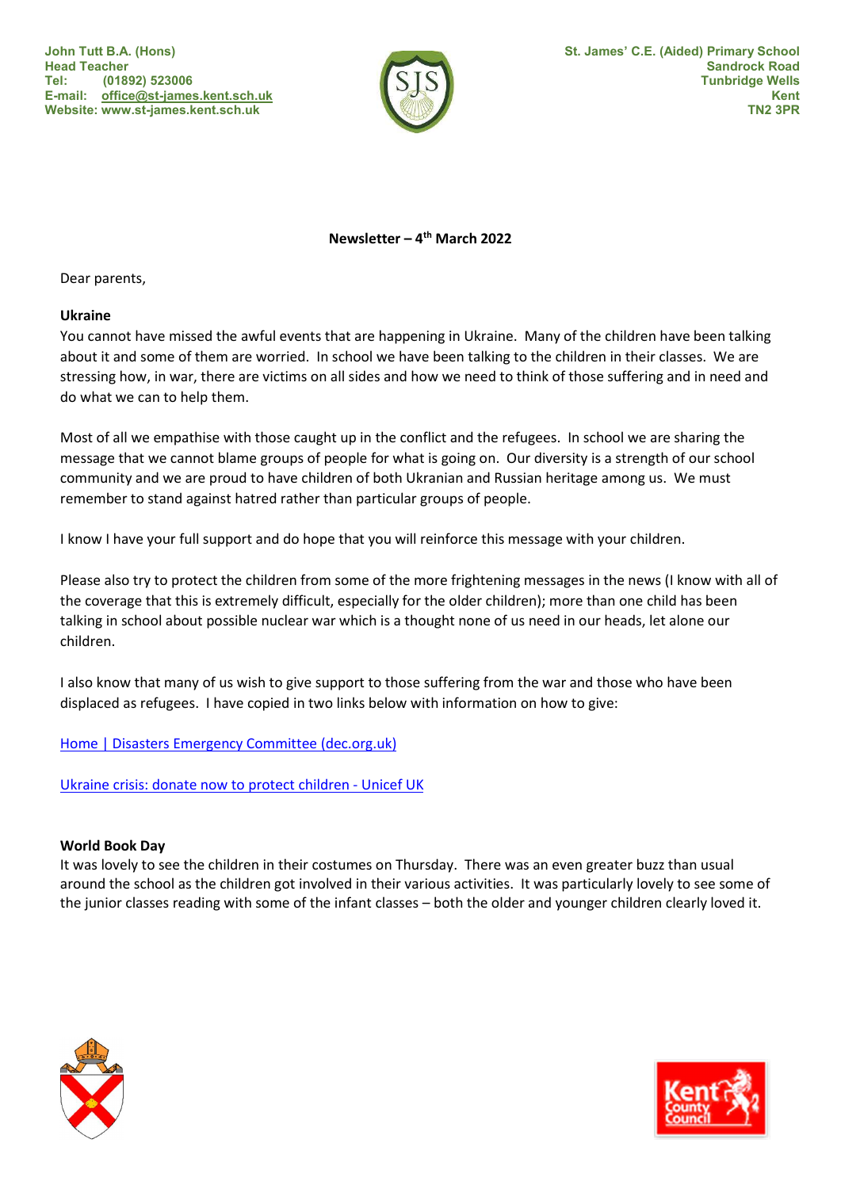John Tutt B.A. (Hons) Head Teacher Tel: (01892) 523006 E-mail: office@st-james.kent.sch.uk Website: www.st-james.kent.sch.uk



Newsletter –  $4<sup>th</sup>$  March 2022

Dear parents,

### Ukraine

You cannot have missed the awful events that are happening in Ukraine. Many of the children have been talking about it and some of them are worried. In school we have been talking to the children in their classes. We are stressing how, in war, there are victims on all sides and how we need to think of those suffering and in need and do what we can to help them.

Most of all we empathise with those caught up in the conflict and the refugees. In school we are sharing the message that we cannot blame groups of people for what is going on. Our diversity is a strength of our school community and we are proud to have children of both Ukranian and Russian heritage among us. We must remember to stand against hatred rather than particular groups of people.

I know I have your full support and do hope that you will reinforce this message with your children.

Please also try to protect the children from some of the more frightening messages in the news (I know with all of the coverage that this is extremely difficult, especially for the older children); more than one child has been talking in school about possible nuclear war which is a thought none of us need in our heads, let alone our children.

I also know that many of us wish to give support to those suffering from the war and those who have been displaced as refugees. I have copied in two links below with information on how to give:

# Home | Disasters Emergency Committee (dec.org.uk)

Ukraine crisis: donate now to protect children - Unicef UK

# World Book Day

It was lovely to see the children in their costumes on Thursday. There was an even greater buzz than usual around the school as the children got involved in their various activities. It was particularly lovely to see some of the junior classes reading with some of the infant classes – both the older and younger children clearly loved it.



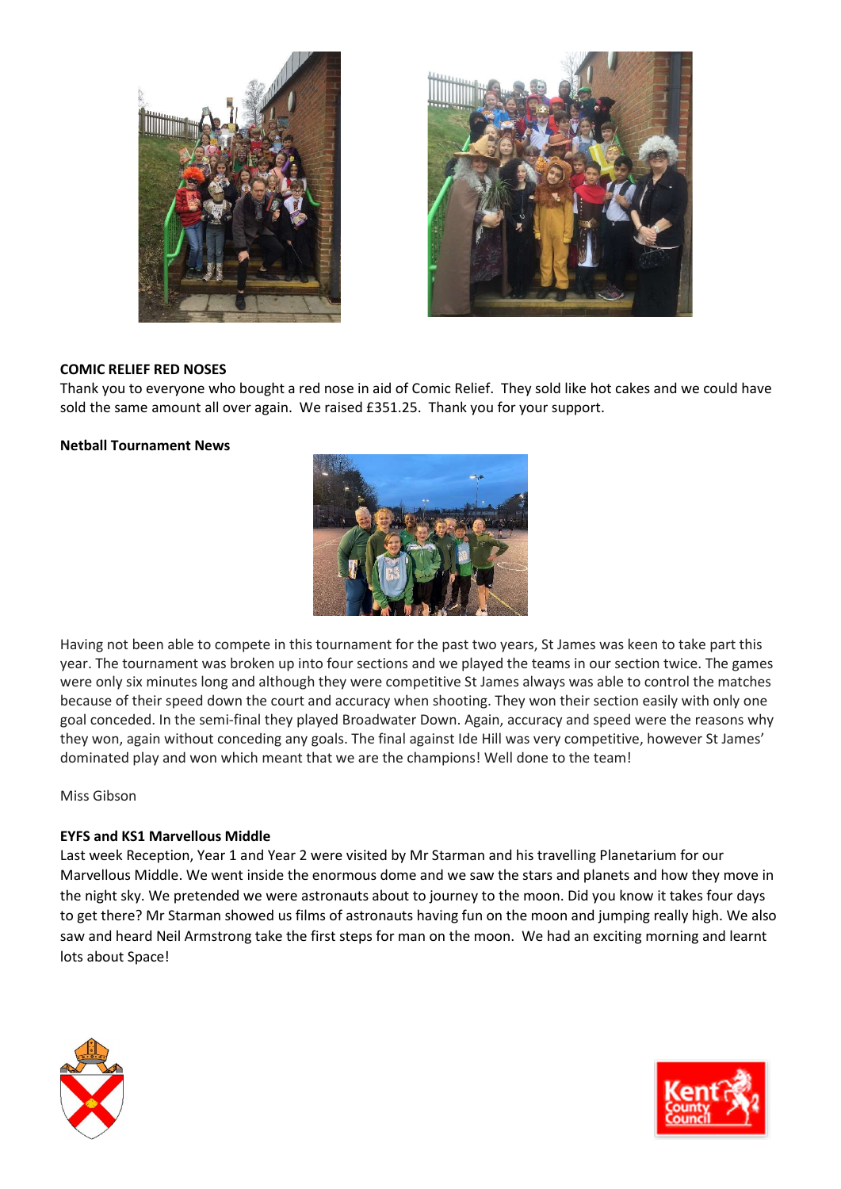



## COMIC RELIEF RED NOSES

Thank you to everyone who bought a red nose in aid of Comic Relief. They sold like hot cakes and we could have sold the same amount all over again. We raised £351.25. Thank you for your support.

### Netball Tournament News



Having not been able to compete in this tournament for the past two years, St James was keen to take part this year. The tournament was broken up into four sections and we played the teams in our section twice. The games were only six minutes long and although they were competitive St James always was able to control the matches because of their speed down the court and accuracy when shooting. They won their section easily with only one goal conceded. In the semi-final they played Broadwater Down. Again, accuracy and speed were the reasons why they won, again without conceding any goals. The final against Ide Hill was very competitive, however St James' dominated play and won which meant that we are the champions! Well done to the team!

Miss Gibson

### EYFS and KS1 Marvellous Middle

Last week Reception, Year 1 and Year 2 were visited by Mr Starman and his travelling Planetarium for our Marvellous Middle. We went inside the enormous dome and we saw the stars and planets and how they move in the night sky. We pretended we were astronauts about to journey to the moon. Did you know it takes four days to get there? Mr Starman showed us films of astronauts having fun on the moon and jumping really high. We also saw and heard Neil Armstrong take the first steps for man on the moon. We had an exciting morning and learnt lots about Space!



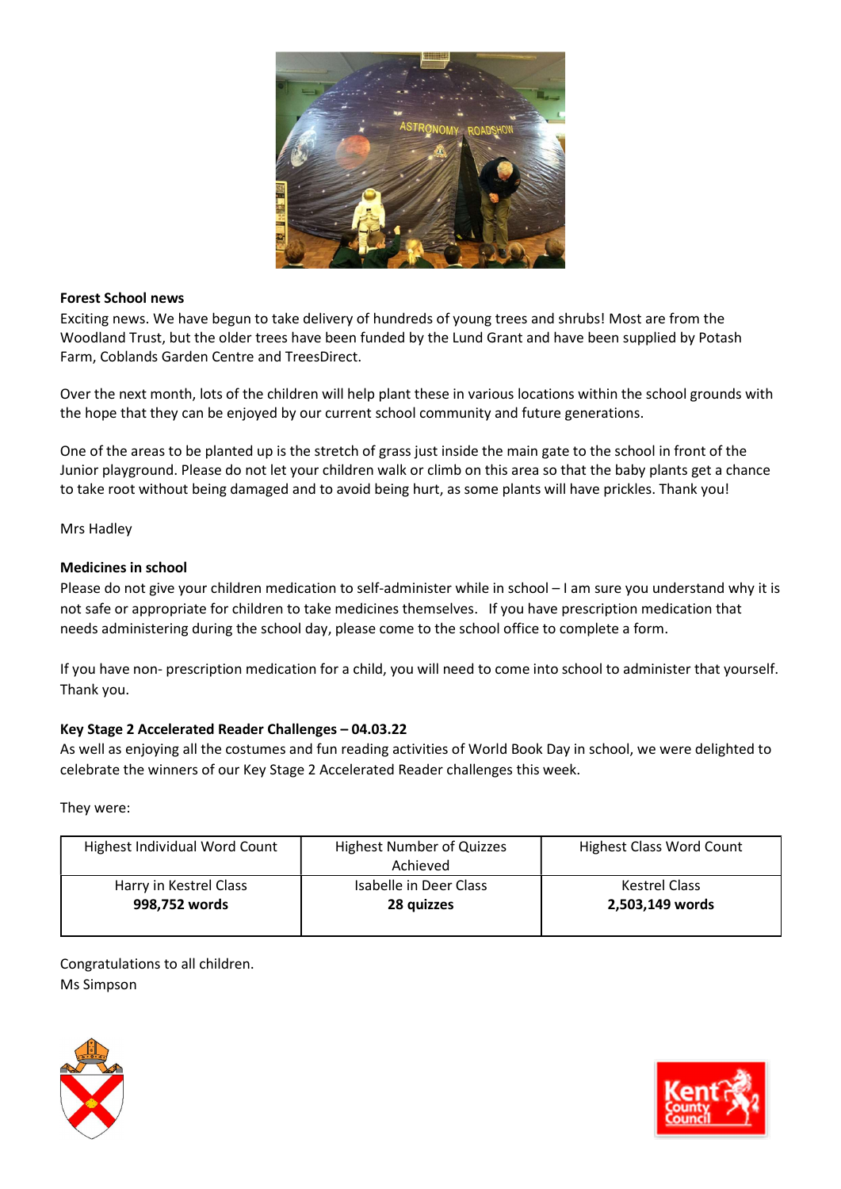

### Forest School news

Exciting news. We have begun to take delivery of hundreds of young trees and shrubs! Most are from the Woodland Trust, but the older trees have been funded by the Lund Grant and have been supplied by Potash Farm, Coblands Garden Centre and TreesDirect.

Over the next month, lots of the children will help plant these in various locations within the school grounds with the hope that they can be enjoyed by our current school community and future generations.

One of the areas to be planted up is the stretch of grass just inside the main gate to the school in front of the Junior playground. Please do not let your children walk or climb on this area so that the baby plants get a chance to take root without being damaged and to avoid being hurt, as some plants will have prickles. Thank you!

Mrs Hadley

## Medicines in school

Please do not give your children medication to self-administer while in school – I am sure you understand why it is not safe or appropriate for children to take medicines themselves. If you have prescription medication that needs administering during the school day, please come to the school office to complete a form.

If you have non- prescription medication for a child, you will need to come into school to administer that yourself. Thank you.

# Key Stage 2 Accelerated Reader Challenges – 04.03.22

As well as enjoying all the costumes and fun reading activities of World Book Day in school, we were delighted to celebrate the winners of our Key Stage 2 Accelerated Reader challenges this week.

They were:

| Highest Individual Word Count | <b>Highest Number of Quizzes</b><br>Achieved | <b>Highest Class Word Count</b> |
|-------------------------------|----------------------------------------------|---------------------------------|
| Harry in Kestrel Class        | Isabelle in Deer Class                       | <b>Kestrel Class</b>            |
| 998.752 words                 | 28 quizzes                                   | 2,503,149 words                 |
|                               |                                              |                                 |

Congratulations to all children. Ms Simpson